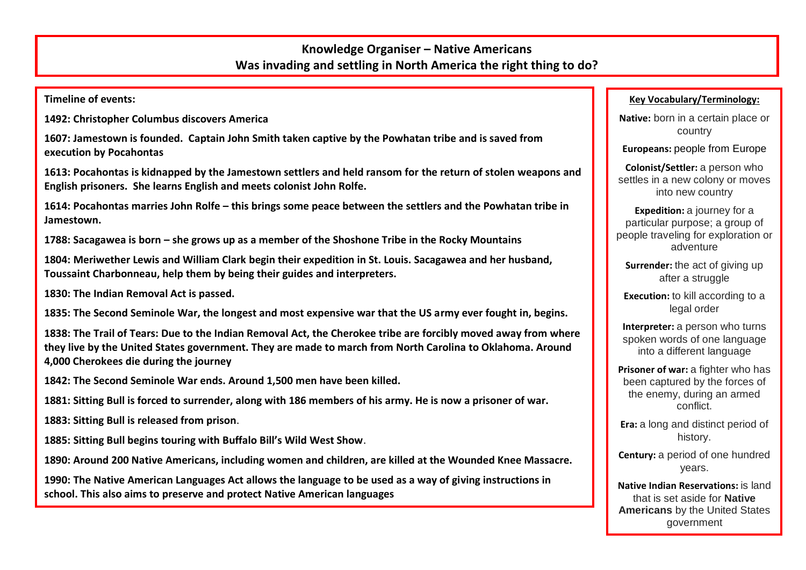## **Knowledge Organiser – Native Americans Was invading and settling in North America the right thing to do?**

**Timeline of events:**

**1492: Christopher Columbus discovers America**

**1607: Jamestown is founded. Captain John Smith taken captive by the Powhatan tribe and is saved from execution by Pocahontas**

**1613: Pocahontas is kidnapped by the Jamestown settlers and held ransom for the return of stolen weapons and English prisoners. She learns English and meets colonist John Rolfe.**

**1614: Pocahontas marries John Rolfe – this brings some peace between the settlers and the Powhatan tribe in Jamestown.**

**1788: Sacagawea is born – she grows up as a member of the Shoshone Tribe in the Rocky Mountains**

**1804: Meriwether Lewis and William Clark begin their expedition in St. Louis. Sacagawea and her husband, Toussaint Charbonneau, help them by being their guides and interpreters.**

**1830: The Indian Removal Act is passed.**

**1835: The Second Seminole War, the longest and most expensive war that the US army ever fought in, begins.**

**1838: The Trail of Tears: Due to the Indian Removal Act, the Cherokee tribe are forcibly moved away from where they live by the United States government. They are made to march from North Carolina to Oklahoma. Around 4,000 Cherokees die during the journey**

**1842: The Second Seminole War ends. Around 1,500 men have been killed.**

**1881: Sitting Bull is forced to surrender, along with 186 members of his army. He is now a prisoner of war.**

**1883: Sitting Bull is released from prison**.

**1885: Sitting Bull begins touring with Buffalo Bill's Wild West Show**.

**1890: Around 200 Native Americans, including women and children, are killed at the Wounded Knee Massacre.**

**1990: The Native American Languages Act allows the language to be used as a way of giving instructions in school. This also aims to preserve and protect Native American languages**

## **Key Vocabulary/Terminology:**

**Native:** born in a certain place or country

**Europeans:** people from Europe

**Colonist/Settler:** a person who settles in a new colony or moves into new country

**Expedition:** a journey for a particular purpose; a group of people traveling for exploration or adventure

**Surrender:** the act of giving up after a struggle

**Execution:** to kill according to a legal order

**Interpreter:** a person who turns spoken words of one language into a different language

**Prisoner of war:** a fighter who has been captured by the forces of the enemy, during an armed conflict.

**Era:** a long and distinct period of history.

**Century:** a period of one hundred years.

**Native Indian Reservations:** is land that is set aside for **Native Americans** by the United States government